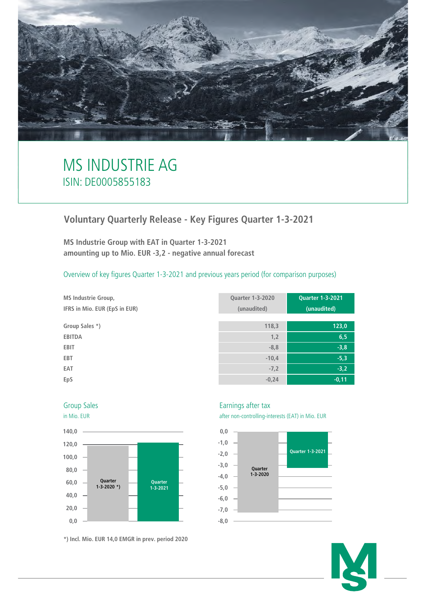

# MS INDUSTRIE AG ISIN: DE0005855183

## **Voluntary Quarterly Release - Key Figures Quarter 1-3-2021**

**MS Industrie Group with EAT in Quarter 1-3-2021 amounting up to Mio. EUR -3,2 - negative annual forecast**

Overview of key figures Quarter 1-3-2021 and previous years period (for comparison purposes)

| <b>MS Industrie Group,</b>    | <b>Quarter 1-3-2020</b> | <b>Quarter 1-3-2021</b> |
|-------------------------------|-------------------------|-------------------------|
| IFRS in Mio. EUR (EpS in EUR) | (unaudited)             | (unaudited)             |
|                               |                         |                         |
| Group Sales *)                | 118,3                   | 123,0                   |
| <b>EBITDA</b>                 | 1,2                     | 6, 5                    |
| <b>EBIT</b>                   | $-8,8$                  | $-3,8$                  |
| <b>EBT</b>                    | $-10,4$                 | $-5,3$                  |
| EAT                           | $-7,2$                  | $-3,2$                  |
| EpS                           | $-0,24$                 | $-0,11$                 |





**\*) Incl. Mio. EUR 14,0 EMGR in prev. period 2020**

### Group Sales **Earnings** after tax

in Mio. EUR after non-controlling-interests (EAT) in Mio. EUR



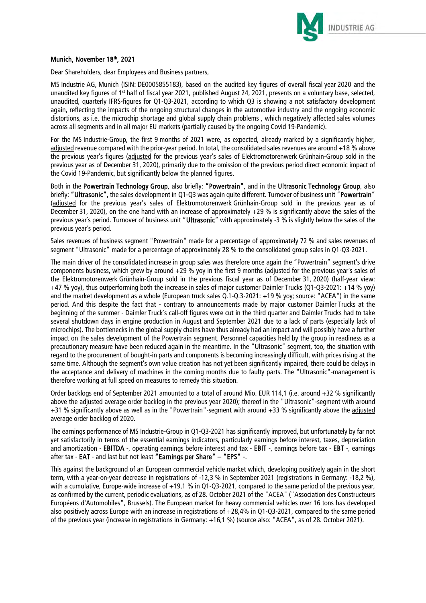

#### Munich, November 18th, 2021

Dear Shareholders, dear Employees and Business partners,

MS Industrie AG, Munich (ISIN: DE0005855183), based on the audited key figures of overall fiscal year 2020 and the unaudited key figures of 1st half of fiscal year 2021, published August 24, 2021, presents on a voluntary base, selected, unaudited, quarterly IFRS-figures for Q1-Q3-2021, according to which Q3 is showing a not satisfactory development again, reflecting the impacts of the ongoing structural changes in the automotive industry and the ongoing economic distortions, as i.e. the microchip shortage and global supply chain problems , which negatively affected sales volumes across all segments and in all major EU markets (partially caused by the ongoing Covid 19-Pandemic).

For the MS Industrie-Group, the first 9 months of 2021 were, as expected, already marked by a significantly higher, adjusted revenue compared with the prior-year period. In total, the consolidated sales revenues are around +18 % above the previous year's figures (adjusted for the previous year's sales of Elektromotorenwerk Grünhain-Group sold in the previous year as of December 31, 2020), primarily due to the omission of the previous period direct economic impact of the Covid 19-Pandemic, but significantly below the planned figures.

Both in the Powertrain Technology Group, also briefly: "Powertrain", and in the Ultrasonic Technology Group, also briefly: "Ultrasonic", the sales development in Q1-Q3 was again quite different. Turnover of business unit "Powertrain" (adjusted for the previous year's sales of Elektromotorenwerk Grünhain-Group sold in the previous year as of December 31, 2020), on the one hand with an increase of approximately +29 % is significantly above the sales of the previous year´s period. Turnover of business unit "Ultrasonic" with approximately -3 % is slightly below the sales of the previous year´s period.

Sales revenues of business segment "Powertrain" made for a percentage of approximately 72 % and sales revenues of segment "Ultrasonic" made for a percentage of approximately 28 % to the consolidated group sales in Q1-Q3-2021.

The main driver of the consolidated increase in group sales was therefore once again the "Powertrain" segment's drive components business, which grew by around  $+29$  % yoy in the first 9 months (adjusted for the previous year's sales of the Elektromotorenwerk Grünhain-Group sold in the previous fiscal year as of December 31, 2020) (half-year view: +47 % yoy), thus outperforming both the increase in sales of major customer Daimler Trucks (Q1-Q3-2021: +14 % yoy) and the market development as a whole (European truck sales Q.1-Q.3-2021: +19 % yoy; source: "ACEA") in the same period. And this despite the fact that - contrary to announcements made by major customer Daimler Trucks at the beginning of the summer - Daimler Truck´s call-off figures were cut in the third quarter and Daimler Trucks had to take several shutdown days in engine production in August and September 2021 due to a lack of parts (especially lack of microchips). The bottlenecks in the global supply chains have thus already had an impact and will possibly have a further impact on the sales development of the Powertrain segment. Personnel capacities held by the group in readiness as a precautionary measure have been reduced again in the meantime. In the "Ultrasonic" segment, too, the situation with regard to the procurement of bought-in parts and components is becoming increasingly difficult, with prices rising at the same time. Although the segment's own value creation has not yet been significantly impaired, there could be delays in the acceptance and delivery of machines in the coming months due to faulty parts. The "Ultrasonic"-management is therefore working at full speed on measures to remedy this situation.

Order backlogs end of September 2021 amounted to a total of around Mio. EUR 114,1 (i.e. around +32 % significantly above the adjusted average order backlog in the previous year 2020); thereof in the "Ultrasonic"-segment with around +31 % significantly above as well as in the "Powertrain"-segment with around +33 % significantly above the adjusted average order backlog of 2020.

The earnings performance of MS Industrie-Group in Q1-Q3-2021 has significantly improved, but unfortunately by far not yet satisfactorily in terms of the essential earnings indicators, particularly earnings before interest, taxes, depreciation and amortization - EBITDA -, operating earnings before interest and tax - EBIT -, earnings before tax - EBT -, earnings after tax - EAT - and last but not least "Earnings per Share" – "EPS" -.

This against the background of an European commercial vehicle market which, developing positively again in the short term, with a year-on-year decrease in registrations of -12,3 % in September 2021 (registrations in Germany: -18,2 %), with a cumulative, Europe-wide increase of +19,1 % in Q1-Q3-2021, compared to the same period of the previous year, as confirmed by the current, periodic evaluations, as of 28. October 2021 of the "ACEA" ("Association des Constructeurs Européens d'Automobiles", Brussels). The European market for heavy commercial vehicles over 16 tons has developed also positively across Europe with an increase in registrations of +28,4% in Q1-Q3-2021, compared to the same period of the previous year (increase in registrations in Germany: +16,1 %) (source also: "ACEA", as of 28. October 2021).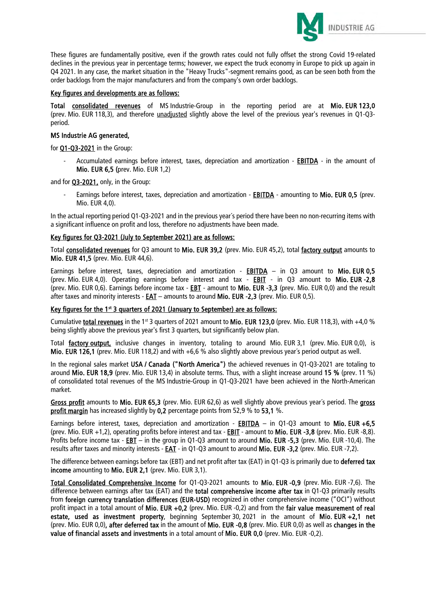

These figures are fundamentally positive, even if the growth rates could not fully offset the strong Covid 19-related declines in the previous year in percentage terms; however, we expect the truck economy in Europe to pick up again in Q4 2021. In any case, the market situation in the "Heavy Trucks"-segment remains good, as can be seen both from the order backlogs from the major manufacturers and from the company's own order backlogs.

#### Key figures and developments are as follows:

Total consolidated revenues of MS Industrie-Group in the reporting period are at Mio. EUR 123,0 (prev. Mio. EUR 118,3), and therefore unadjusted slightly above the level of the previous year's revenues in Q1-Q3 period.

#### MS Industrie AG generated,

for Q1-Q3-2021 in the Group:

Accumulated earnings before interest, taxes, depreciation and amortization - **EBITDA** - in the amount of Mio. EUR 6,5 (prev. Mio. EUR 1,2)

and for **Q3-2021**, only, in the Group:

Earnings before interest, taxes, depreciation and amortization - **EBITDA** - amounting to **Mio. EUR 0.5** (prev. Mio. EUR 4,0).

In the actual reporting period Q1-Q3-2021 and in the previous year´s period there have been no non-recurring items with a significant influence on profit and loss, therefore no adjustments have been made.

#### Key figures for Q3-2021 (July to September 2021) are as follows:

Total consolidated revenues for Q3 amount to Mio. EUR 39,2 (prev. Mio. EUR 45,2), total factory output amounts to Mio. EUR 41,5 (prev. Mio. EUR 44,6).

Earnings before interest, taxes, depreciation and amortization - EBITDA – in Q3 amount to Mio. EUR 0,5 (prev. Mio. EUR 4,0). Operating earnings before interest and tax - EBIT - in Q3 amount to Mio. EUR -2,8 (prev. Mio. EUR 0,6). Earnings before income tax - EBT - amount to Mio. EUR -3,3 (prev. Mio. EUR 0,0) and the result after taxes and minority interests - EAT – amounts to around Mio. EUR -2,3 (prev. Mio. EUR 0,5).

#### Key figures for the 1<sup>st</sup> 3 quarters of 2021 (January to September) are as follows:

Cumulative total revenues in the 1<sup>st</sup> 3 quarters of 2021 amount to Mio. EUR 123,0 (prev. Mio. EUR 118,3), with +4,0 % being slightly above the previous year's first 3 quarters, but significantly below plan.

Total factory output, inclusive changes in inventory, totaling to around Mio. EUR 3,1 (prev. Mio. EUR 0,0), is Mio. EUR 126,1 (prev. Mio. EUR 118,2) and with +6,6 % also slightly above previous year´s period output as well.

In the regional sales market USA / Canada ("North America") the achieved revenues in Q1-Q3-2021 are totaling to around Mio. EUR 18,9 (prev. Mio. EUR 13,4) in absolute terms. Thus, with a slight increase around 15 % (prev. 11 %) of consolidated total revenues of the MS Industrie-Group in Q1-Q3-2021 have been achieved in the North-American market.

Gross profit amounts to Mio. EUR 65,3 (prev. Mio. EUR 62,6) as well slightly above previous year's period. The gross profit margin has increased slightly by 0,2 percentage points from 52,9 % to 53,1 %.

Earnings before interest, taxes, depreciation and amortization - **EBITDA** – in Q1-Q3 amount to Mio. EUR +6,5 (prev. Mio. EUR +1,2), operating profits before interest and tax - EBIT - amount to Mio. EUR -3,8 (prev. Mio. EUR -8,8). Profits before income tax - **EBT** – in the group in Q1-Q3 amount to around **Mio. EUR -5,3** (prev. Mio. EUR -10,4). The results after taxes and minority interests - EAT - in Q1-Q3 amount to around Mio. EUR -3,2 (prev. Mio. EUR -7,2).

The difference between earnings before tax (EBT) and net profit after tax (EAT) in Q1-Q3 is primarily due to deferred tax income amounting to Mio. EUR 2.1 (prev. Mio. EUR 3,1).

Total Consolidated Comprehensive Income for Q1-Q3-2021 amounts to Mio. EUR -0,9 (prev. Mio. EUR -7,6). The difference between earnings after tax (EAT) and the **total comprehensive income after tax** in Q1-Q3 primarily results from foreign currency translation differences (EUR-USD) recognized in other comprehensive income ("OCI") without profit impact in a total amount of Mio. EUR +0,2 (prev. Mio. EUR -0,2) and from the fair value measurement of real estate, used as investment property, beginning September 30, 2021 in the amount of Mio. EUR +2.1 net (prev. Mio. EUR 0,0), after deferred tax in the amount of Mio. EUR -0,8 (prev. Mio. EUR 0,0) as well as changes in the value of financial assets and investments in a total amount of Mio. EUR 0,0 (prev. Mio. EUR -0,2).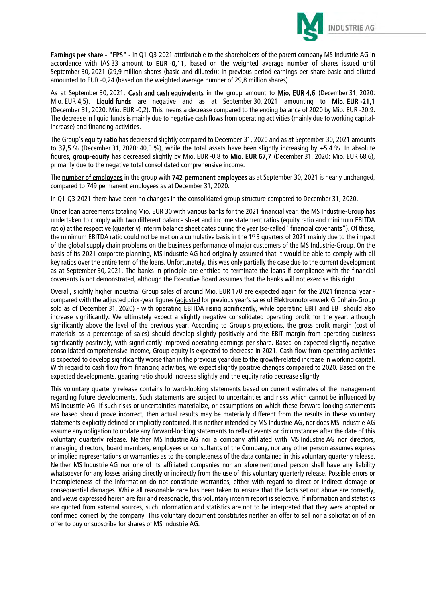

Earnings per share - "EPS" - in Q1-Q3-2021 attributable to the shareholders of the parent company MS Industrie AG in accordance with IAS 33 amount to EUR -0,11, based on the weighted average number of shares issued until September 30, 2021 (29,9 million shares (basic and diluted)); in previous period earnings per share basic and diluted amounted to EUR -0,24 (based on the weighted average number of 29,8 million shares).

As at September 30, 2021, Cash and cash equivalents in the group amount to Mio. EUR 4,6 (December 31, 2020: Mio. EUR 4,5). Liquid funds are negative and as at September 30, 2021 amounting to Mio. EUR -21,1 (December 31, 2020: Mio. EUR -0,2). This means a decrease compared to the ending balance of 2020 by Mio. EUR -20,9. The decrease in liquid funds is mainly due to negative cash flows from operating activities (mainly due to working capitalincrease) and financing activities.

The Group's equity ratio has decreased slightly compared to December 31, 2020 and as at September 30, 2021 amounts to 37.5 % (December 31, 2020: 40,0 %), while the total assets have been slightly increasing by  $+5.4$  %. In absolute figures, group-equity has decreased slightly by Mio. EUR -0,8 to Mio. EUR 67,7 (December 31, 2020: Mio. EUR 68,6), primarily due to the negative total consolidated comprehensive income.

The number of employees in the group with 742 permanent employees as at September 30, 2021 is nearly unchanged, compared to 749 permanent employees as at December 31, 2020.

In Q1-Q3-2021 there have been no changes in the consolidated group structure compared to December 31, 2020.

Under loan agreements totaling Mio. EUR 30 with various banks for the 2021 financial year, the MS Industrie-Group has undertaken to comply with two different balance sheet and income statement ratios (equity ratio and minimum EBITDA ratio) at the respective (quarterly) interim balance sheet dates during the year (so-called "financial covenants"). Of these, the minimum EBITDA ratio could not be met on a cumulative basis in the 1st 3 quarters of 2021 mainly due to the impact of the global supply chain problems on the business performance of major customers of the MS Industrie-Group. On the basis of its 2021 corporate planning, MS Industrie AG had originally assumed that it would be able to comply with all key ratios over the entire term of the loans. Unfortunately, this was only partially the case due to the current development as at September 30, 2021. The banks in principle are entitled to terminate the loans if compliance with the financial covenants is not demonstrated, although the Executive Board assumes that the banks will not exercise this right.

Overall, slightly higher industrial Group sales of around Mio. EUR 170 are expected again for the 2021 financial year compared with the adjusted prior-year figures (adjusted for previous year's sales of Elektromotorenwerk Grünhain-Group sold as of December 31, 2020) - with operating EBITDA rising significantly, while operating EBIT and EBT should also increase significantly. We ultimately expect a slightly negative consolidated operating profit for the year, although significantly above the level of the previous year. According to Group's projections, the gross profit margin (cost of materials as a percentage of sales) should develop slightly positively and the EBIT margin from operating business significantly positively, with significantly improved operating earnings per share. Based on expected slightly negative consolidated comprehensive income, Group equity is expected to decrease in 2021. Cash flow from operating activities is expected to develop significantly worse than in the previous year due to the growth-related increase in working capital. With regard to cash flow from financing activities, we expect slightly positive changes compared to 2020. Based on the expected developments, gearing ratio should increase slightly and the equity ratio decrease slightly.

This voluntary quarterly release contains forward-looking statements based on current estimates of the management regarding future developments. Such statements are subject to uncertainties and risks which cannot be influenced by MS Industrie AG. If such risks or uncertainties materialize, or assumptions on which these forward-looking statements are based should prove incorrect, then actual results may be materially different from the results in these voluntary statements explicitly defined or implicitly contained. It is neither intended by MS Industrie AG, nor does MS Industrie AG assume any obligation to update any forward-looking statements to reflect events or circumstances after the date of this voluntary quarterly release. Neither MS Industrie AG nor a company affiliated with MS Industrie AG nor directors, managing directors, board members, employees or consultants of the Company, nor any other person assumes express or implied representations or warranties as to the completeness of the data contained in this voluntary quarterly release. Neither MS Industrie AG nor one of its affiliated companies nor an aforementioned person shall have any liability whatsoever for any losses arising directly or indirectly from the use of this voluntary quarterly release. Possible errors or incompleteness of the information do not constitute warranties, either with regard to direct or indirect damage or consequential damages. While all reasonable care has been taken to ensure that the facts set out above are correctly, and views expressed herein are fair and reasonable, this voluntary interim report is selective. If information and statistics are quoted from external sources, such information and statistics are not to be interpreted that they were adopted or confirmed correct by the company. This voluntary document constitutes neither an offer to sell nor a solicitation of an offer to buy or subscribe for shares of MS Industrie AG.